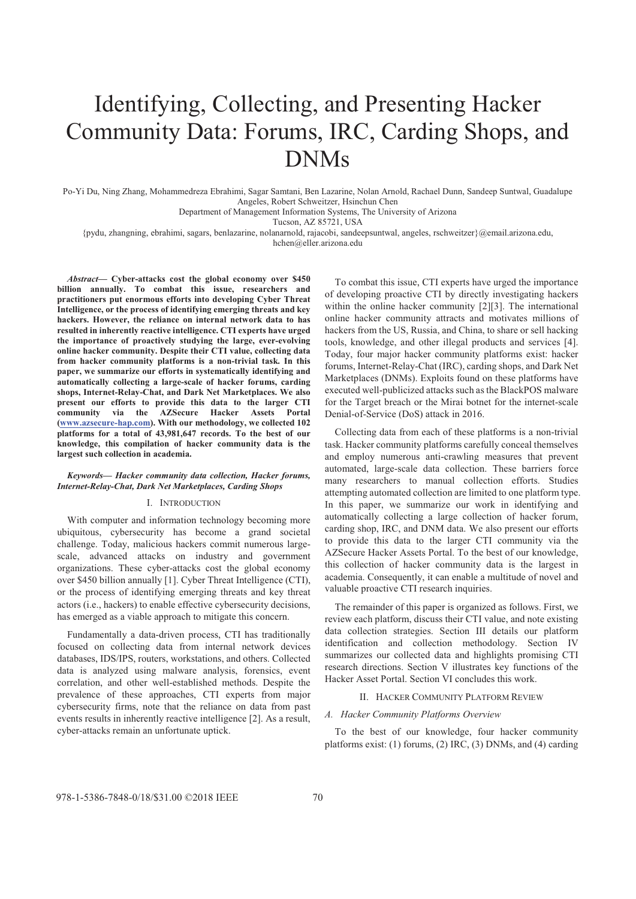# Identifying, Collecting, and Presenting Hacker Community Data: Forums, IRC, Carding Shops, and DNMs

Po-Yi Du, Ning Zhang, Mohammedreza Ebrahimi, Sagar Samtani, Ben Lazarine, Nolan Arnold, Rachael Dunn, Sandeep Suntwal, Guadalupe Angeles, Robert Schweitzer, Hsinchun Chen

Department of Management Information Systems, The University of Arizona

Tucson, AZ 85721, USA

{pydu, zhangning, ebrahimi, sagars, benlazarine, nolanarnold, rajacobi, sandeepsuntwal, angeles, rschweitzer}@email.arizona.edu,

hchen@eller.arizona.edu

*Abstract***— Cyber-attacks cost the global economy over \$450 billion annually. To combat this issue, researchers and practitioners put enormous efforts into developing Cyber Threat Intelligence, or the process of identifying emerging threats and key hackers. However, the reliance on internal network data to has resulted in inherently reactive intelligence. CTI experts have urged the importance of proactively studying the large, ever-evolving online hacker community. Despite their CTI value, collecting data from hacker community platforms is a non-trivial task. In this paper, we summarize our efforts in systematically identifying and automatically collecting a large-scale of hacker forums, carding shops, Internet-Relay-Chat, and Dark Net Marketplaces. We also present our efforts to provide this data to the larger CTI community via the AZSecure Hacker Assets Portal (www.azsecure-hap.com). With our methodology, we collected 102 platforms for a total of 43,981,647 records. To the best of our knowledge, this compilation of hacker community data is the largest such collection in academia.** 

# *Keywords— Hacker community data collection, Hacker forums, Internet-Relay-Chat, Dark Net Marketplaces, Carding Shops*

#### I. INTRODUCTION

With computer and information technology becoming more ubiquitous, cybersecurity has become a grand societal challenge. Today, malicious hackers commit numerous largescale, advanced attacks on industry and government organizations. These cyber-attacks cost the global economy over \$450 billion annually [1]. Cyber Threat Intelligence (CTI), or the process of identifying emerging threats and key threat actors (i.e., hackers) to enable effective cybersecurity decisions, has emerged as a viable approach to mitigate this concern.

Fundamentally a data-driven process, CTI has traditionally focused on collecting data from internal network devices databases, IDS/IPS, routers, workstations, and others. Collected data is analyzed using malware analysis, forensics, event correlation, and other well-established methods. Despite the prevalence of these approaches, CTI experts from major cybersecurity firms, note that the reliance on data from past events results in inherently reactive intelligence [2]. As a result, cyber-attacks remain an unfortunate uptick.

To combat this issue, CTI experts have urged the importance of developing proactive CTI by directly investigating hackers within the online hacker community [2][3]. The international online hacker community attracts and motivates millions of hackers from the US, Russia, and China, to share or sell hacking tools, knowledge, and other illegal products and services [4]. Today, four major hacker community platforms exist: hacker forums, Internet-Relay-Chat (IRC), carding shops, and Dark Net Marketplaces (DNMs). Exploits found on these platforms have executed well-publicized attacks such as the BlackPOS malware for the Target breach or the Mirai botnet for the internet-scale Denial-of-Service (DoS) attack in 2016.

Collecting data from each of these platforms is a non-trivial task. Hacker community platforms carefully conceal themselves and employ numerous anti-crawling measures that prevent automated, large-scale data collection. These barriers force many researchers to manual collection efforts. Studies attempting automated collection are limited to one platform type. In this paper, we summarize our work in identifying and automatically collecting a large collection of hacker forum, carding shop, IRC, and DNM data. We also present our efforts to provide this data to the larger CTI community via the AZSecure Hacker Assets Portal. To the best of our knowledge, this collection of hacker community data is the largest in academia. Consequently, it can enable a multitude of novel and valuable proactive CTI research inquiries.

The remainder of this paper is organized as follows. First, we review each platform, discuss their CTI value, and note existing data collection strategies. Section III details our platform identification and collection methodology. Section IV summarizes our collected data and highlights promising CTI research directions. Section V illustrates key functions of the Hacker Asset Portal. Section VI concludes this work.

## II. HACKER COMMUNITY PLATFORM REVIEW

#### *A. Hacker Community Platforms Overview*

To the best of our knowledge, four hacker community platforms exist: (1) forums, (2) IRC, (3) DNMs, and (4) carding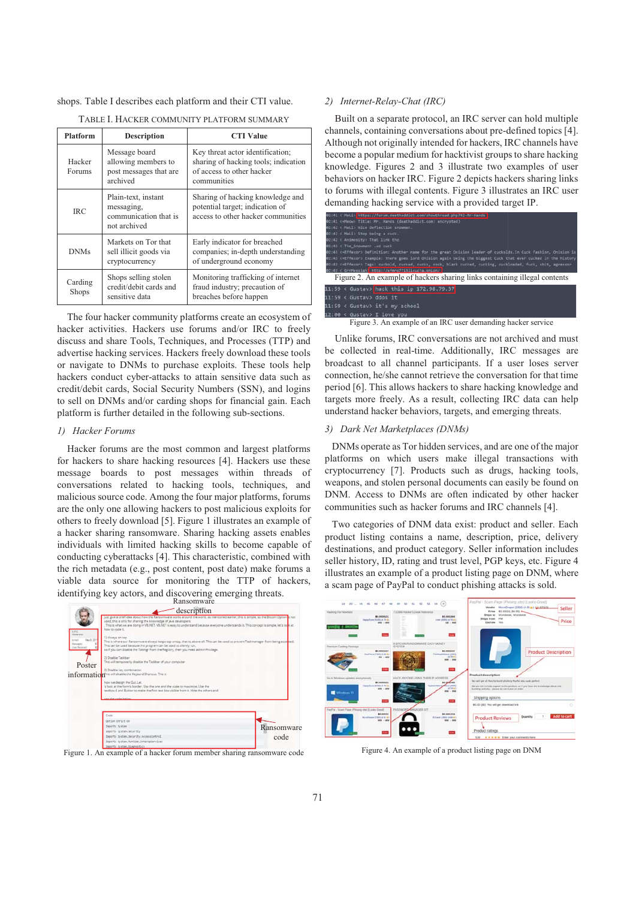shops. Table I describes each platform and their CTI value.

| Platform         | <b>Description</b>                                                         | <b>CTI</b> Value                                                                                                     |  |
|------------------|----------------------------------------------------------------------------|----------------------------------------------------------------------------------------------------------------------|--|
| Hacker<br>Forums | Message board<br>allowing members to<br>post messages that are<br>archived | Key threat actor identification;<br>sharing of hacking tools; indication<br>of access to other hacker<br>communities |  |
| <b>IRC</b>       | Plain-text, instant<br>messaging,<br>communication that is<br>not archived | Sharing of hacking knowledge and<br>potential target; indication of<br>access to other hacker communities            |  |
| <b>DNMs</b>      | Markets on Tor that<br>sell illicit goods via<br>cryptocurrency            | Early indicator for breached<br>companies; in-depth understanding<br>of underground economy                          |  |
| Carding<br>Shops | Shops selling stolen<br>credit/debit cards and<br>sensitive data           | Monitoring trafficking of internet<br>fraud industry; precaution of<br>breaches before happen                        |  |

| TABLE I. HACKER COMMUNITY PLATFORM SUMMARY |  |  |  |
|--------------------------------------------|--|--|--|
|--------------------------------------------|--|--|--|

The four hacker community platforms create an ecosystem of hacker activities. Hackers use forums and/or IRC to freely discuss and share Tools, Techniques, and Processes (TTP) and advertise hacking services. Hackers freely download these tools or navigate to DNMs to purchase exploits. These tools help hackers conduct cyber-attacks to attain sensitive data such as credit/debit cards, Social Security Numbers (SSN), and logins to sell on DNMs and/or carding shops for financial gain. Each platform is further detailed in the following sub-sections.

## *1) Hacker Forums*

Hacker forums are the most common and largest platforms for hackers to share hacking resources [4]. Hackers use these message boards to post messages within threads of conversations related to hacking tools, techniques, and malicious source code. Among the four major platforms, forums are the only one allowing hackers to post malicious exploits for others to freely download [5]. Figure 1 illustrates an example of a hacker sharing ransomware. Sharing hacking assets enables individuals with limited hacking skills to become capable of conducting cyberattacks [4]. This characteristic, combined with the rich metadata (e.g., post content, post date) make forums a viable data source for monitoring the TTP of hackers, identifying key actors, and discovering emerging threats.



Figure 1. An example of a hacker forum member sharing ransomware code

#### *2) Internet-Relay-Chat (IRC)*

Built on a separate protocol, an IRC server can hold multiple channels, containing conversations about pre-defined topics [4]. Although not originally intended for hackers, IRC channels have become a popular medium for hacktivist groups to share hacking knowledge. Figures 2 and 3 illustrate two examples of user behaviors on hacker IRC. Figure 2 depicts hackers sharing links to forums with illegal contents. Figure 3 illustrates an IRC user demanding hacking service with a provided target IP.

| 02:41 <+Meow> Title: Mr. Hands (deathaddict.com: encrypted)                                                     |
|-----------------------------------------------------------------------------------------------------------------|
| 02:42 < MaLi> Nice deflection snowman.                                                                          |
| 02:42 < MaLi> Stop being a cuck.                                                                                |
| 02:42 < Animosity> That link tho                                                                                |
| 02:43 < The Snowman> .ud cuck                                                                                   |
| 02:43 <+Effexor> Definition: Another name for the great Onision leader of cuckolds. In Cuck fashion, Onision is |
| 02:43 <+Effexor> Example: There goes lord Onision again being the biggest Cuck that ever cucked in the history  |
| 02:43 <+Effexor> Tags: cuckold, cucked, cucks, cock, black cucked, cucking, cuckloaded, fuck, shit, agressor    |
| 02:43 < GrnMessiah) http://xrmro77i3lixucja.onion/                                                              |
| Figure 2. An example of hackers sharing links containing illegal contents                                       |
| 11:59 < Gustav> hack this ip 172.98.79.37                                                                       |
| 11:59 < Gustav> ddos it                                                                                         |
| 11:59 < Gustav> it's my school                                                                                  |
| 12:00 < Gustav> I love you                                                                                      |
|                                                                                                                 |

Figure 3. An example of an IRC user demanding hacker service

Unlike forums, IRC conversations are not archived and must be collected in real-time. Additionally, IRC messages are broadcast to all channel participants. If a user loses server connection, he/she cannot retrieve the conversation for that time period [6]. This allows hackers to share hacking knowledge and targets more freely. As a result, collecting IRC data can help understand hacker behaviors, targets, and emerging threats.

#### *3) Dark Net Marketplaces (DNMs)*

DNMs operate as Tor hidden services, and are one of the major platforms on which users make illegal transactions with cryptocurrency [7]. Products such as drugs, hacking tools, weapons, and stolen personal documents can easily be found on DNM. Access to DNMs are often indicated by other hacker communities such as hacker forums and IRC channels [4].

Two categories of DNM data exist: product and seller. Each product listing contains a name, description, price, delivery destinations, and product category. Seller information includes seller history, ID, rating and trust level, PGP keys, etc. Figure 4 illustrates an example of a product listing page on DNM, where a scam page of PayPal to conduct phishing attacks is sold.



Figure 4. An example of a product listing page on DNM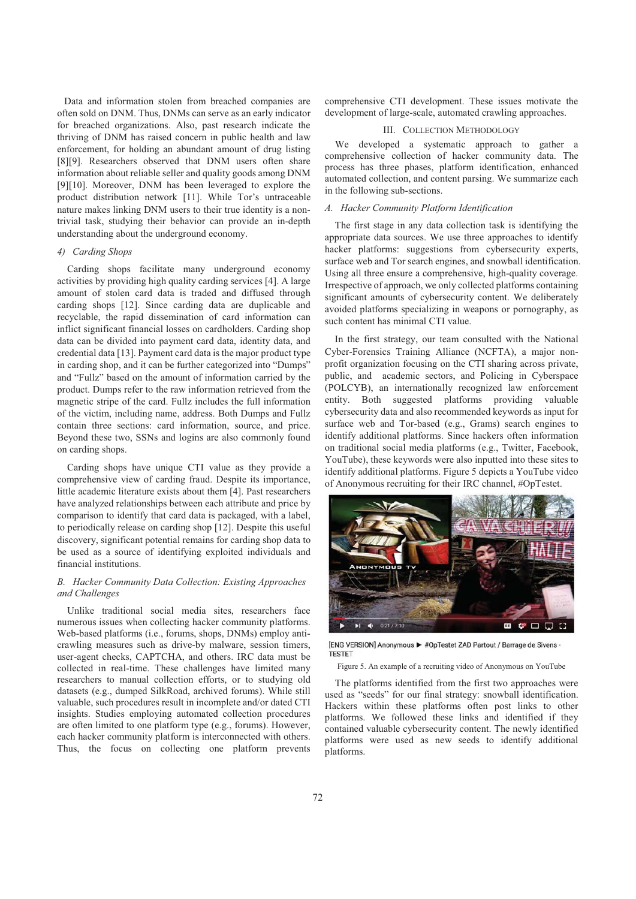Data and information stolen from breached companies are often sold on DNM. Thus, DNMs can serve as an early indicator for breached organizations. Also, past research indicate the thriving of DNM has raised concern in public health and law enforcement, for holding an abundant amount of drug listing [8][9]. Researchers observed that DNM users often share information about reliable seller and quality goods among DNM [9][10]. Moreover, DNM has been leveraged to explore the product distribution network [11]. While Tor's untraceable nature makes linking DNM users to their true identity is a nontrivial task, studying their behavior can provide an in-depth understanding about the underground economy.

## *4) Carding Shops*

Carding shops facilitate many underground economy activities by providing high quality carding services [4]. A large amount of stolen card data is traded and diffused through carding shops [12]. Since carding data are duplicable and recyclable, the rapid dissemination of card information can inflict significant financial losses on cardholders. Carding shop data can be divided into payment card data, identity data, and credential data [13]. Payment card data is the major product type in carding shop, and it can be further categorized into "Dumps" and "Fullz" based on the amount of information carried by the product. Dumps refer to the raw information retrieved from the magnetic stripe of the card. Fullz includes the full information of the victim, including name, address. Both Dumps and Fullz contain three sections: card information, source, and price. Beyond these two, SSNs and logins are also commonly found on carding shops.

Carding shops have unique CTI value as they provide a comprehensive view of carding fraud. Despite its importance, little academic literature exists about them [4]. Past researchers have analyzed relationships between each attribute and price by comparison to identify that card data is packaged, with a label, to periodically release on carding shop [12]. Despite this useful discovery, significant potential remains for carding shop data to be used as a source of identifying exploited individuals and financial institutions.

# *B. Hacker Community Data Collection: Existing Approaches and Challenges*

Unlike traditional social media sites, researchers face numerous issues when collecting hacker community platforms. Web-based platforms (i.e., forums, shops, DNMs) employ anticrawling measures such as drive-by malware, session timers, user-agent checks, CAPTCHA, and others. IRC data must be collected in real-time. These challenges have limited many researchers to manual collection efforts, or to studying old datasets (e.g., dumped SilkRoad, archived forums). While still valuable, such procedures result in incomplete and/or dated CTI insights. Studies employing automated collection procedures are often limited to one platform type (e.g., forums). However, each hacker community platform is interconnected with others. Thus, the focus on collecting one platform prevents comprehensive CTI development. These issues motivate the development of large-scale, automated crawling approaches.

### III. COLLECTION METHODOLOGY

We developed a systematic approach to gather a comprehensive collection of hacker community data. The process has three phases, platform identification, enhanced automated collection, and content parsing. We summarize each in the following sub-sections.

# *A. Hacker Community Platform Identification*

The first stage in any data collection task is identifying the appropriate data sources. We use three approaches to identify hacker platforms: suggestions from cybersecurity experts, surface web and Tor search engines, and snowball identification. Using all three ensure a comprehensive, high-quality coverage. Irrespective of approach, we only collected platforms containing significant amounts of cybersecurity content. We deliberately avoided platforms specializing in weapons or pornography, as such content has minimal CTI value.

In the first strategy, our team consulted with the National Cyber-Forensics Training Alliance (NCFTA), a major nonprofit organization focusing on the CTI sharing across private, public, and academic sectors, and Policing in Cyberspace (POLCYB), an internationally recognized law enforcement entity. Both suggested platforms providing valuable cybersecurity data and also recommended keywords as input for surface web and Tor-based (e.g., Grams) search engines to identify additional platforms. Since hackers often information on traditional social media platforms (e.g., Twitter, Facebook, YouTube), these keywords were also inputted into these sites to identify additional platforms. Figure 5 depicts a YouTube video of Anonymous recruiting for their IRC channel, #OpTestet.



[ENG VERSION] Anonymous ▶ #OpTestet ZAD Partout / Barrage de Sivens -TESTET

Figure 5. An example of a recruiting video of Anonymous on YouTube

The platforms identified from the first two approaches were used as "seeds" for our final strategy: snowball identification. Hackers within these platforms often post links to other platforms. We followed these links and identified if they contained valuable cybersecurity content. The newly identified platforms were used as new seeds to identify additional platforms.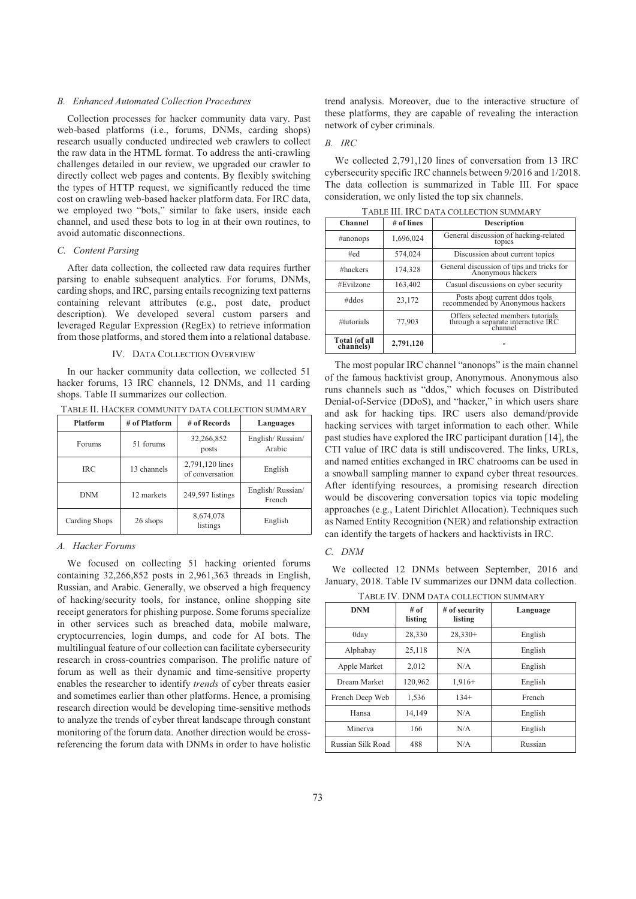## *B. Enhanced Automated Collection Procedures*

Collection processes for hacker community data vary. Past web-based platforms (i.e., forums, DNMs, carding shops) research usually conducted undirected web crawlers to collect the raw data in the HTML format. To address the anti-crawling challenges detailed in our review, we upgraded our crawler to directly collect web pages and contents. By flexibly switching the types of HTTP request, we significantly reduced the time cost on crawling web-based hacker platform data. For IRC data, we employed two "bots," similar to fake users, inside each channel, and used these bots to log in at their own routines, to avoid automatic disconnections.

#### *C. Content Parsing*

After data collection, the collected raw data requires further parsing to enable subsequent analytics. For forums, DNMs, carding shops, and IRC, parsing entails recognizing text patterns containing relevant attributes (e.g., post date, product description). We developed several custom parsers and leveraged Regular Expression (RegEx) to retrieve information from those platforms, and stored them into a relational database.

## IV. DATA COLLECTION OVERVIEW

In our hacker community data collection, we collected 51 hacker forums, 13 IRC channels, 12 DNMs, and 11 carding shops. Table II summarizes our collection.

| TABLE II. HACKER COMMUNITY DATA COLLECTION SUMMARY |  |
|----------------------------------------------------|--|
|----------------------------------------------------|--|

| <b>Platform</b> | # of Platform                    | # of Records                       | Languages                  |
|-----------------|----------------------------------|------------------------------------|----------------------------|
| Forums          | 32,266,852<br>51 forums<br>posts |                                    | English/Russian/<br>Arabic |
| IRC             | 13 channels                      | 2,791,120 lines<br>of conversation | English                    |
| <b>DNM</b>      | 12 markets                       | 249,597 listings                   | English/Russian/<br>French |
| Carding Shops   | 26 shops                         | 8,674,078<br>listings              | English                    |

# *A. Hacker Forums*

We focused on collecting 51 hacking oriented forums containing 32,266,852 posts in 2,961,363 threads in English, Russian, and Arabic. Generally, we observed a high frequency of hacking/security tools, for instance, online shopping site receipt generators for phishing purpose. Some forums specialize in other services such as breached data, mobile malware, cryptocurrencies, login dumps, and code for AI bots. The multilingual feature of our collection can facilitate cybersecurity research in cross-countries comparison. The prolific nature of forum as well as their dynamic and time-sensitive property enables the researcher to identify *trends* of cyber threats easier and sometimes earlier than other platforms. Hence, a promising research direction would be developing time-sensitive methods to analyze the trends of cyber threat landscape through constant monitoring of the forum data. Another direction would be crossreferencing the forum data with DNMs in order to have holistic trend analysis. Moreover, due to the interactive structure of these platforms, they are capable of revealing the interaction network of cyber criminals.

#### *B. IRC*

We collected 2,791,120 lines of conversation from 13 IRC cybersecurity specific IRC channels between 9/2016 and 1/2018. The data collection is summarized in Table III. For space consideration, we only listed the top six channels.

| TABLE III. IRC DATA COLLECTION SUMMARY |            |                                                                                    |  |  |
|----------------------------------------|------------|------------------------------------------------------------------------------------|--|--|
| Channel                                | # of lines | <b>Description</b>                                                                 |  |  |
| #anonops                               | 1.696.024  | General discussion of hacking-related<br>topics                                    |  |  |
| #ed                                    | 574,024    | Discussion about current topics                                                    |  |  |
| #hacksers                              | 174,328    | General discussion of tips and tricks for<br>Anonymous hackers                     |  |  |
| #Evilzone                              | 163,402    | Casual discussions on cyber security                                               |  |  |
| #ddos                                  | 23,172     | Posts about current ddos tools<br>recommended by Anonymous hackers                 |  |  |
| #tutorials                             | 77,903     | Offers selected members tutorials<br>through a separate interactive IRC<br>channel |  |  |
| Total (of all<br>channels)             | 2,791,120  |                                                                                    |  |  |

The most popular IRC channel "anonops" is the main channel of the famous hacktivist group, Anonymous. Anonymous also runs channels such as "ddos," which focuses on Distributed Denial-of-Service (DDoS), and "hacker," in which users share and ask for hacking tips. IRC users also demand/provide hacking services with target information to each other. While past studies have explored the IRC participant duration [14], the CTI value of IRC data is still undiscovered. The links, URLs, and named entities exchanged in IRC chatrooms can be used in a snowball sampling manner to expand cyber threat resources. After identifying resources, a promising research direction would be discovering conversation topics via topic modeling approaches (e.g., Latent Dirichlet Allocation). Techniques such as Named Entity Recognition (NER) and relationship extraction can identify the targets of hackers and hacktivists in IRC.

#### *C. DNM*

We collected 12 DNMs between September, 2016 and January, 2018. Table IV summarizes our DNM data collection.

| TABLE IV. DNM DATA COLLECTION SUMMARY |  |
|---------------------------------------|--|
|---------------------------------------|--|

| <b>DNM</b>        | # of<br>listing | # of security<br>listing | Language |
|-------------------|-----------------|--------------------------|----------|
| 0day              | 28,330          | $28,330+$                | English  |
| Alphabay          | 25,118          | N/A                      | English  |
| Apple Market      | 2,012           | N/A                      | English  |
| Dream Market      | 120,962         | $1,916+$                 | English  |
| French Deep Web   | 1,536           | $134+$                   | French   |
| Hansa             | 14.149          | N/A                      | English  |
| Minerva           | 166             | N/A                      | English  |
| Russian Silk Road | 488             | N/A                      | Russian  |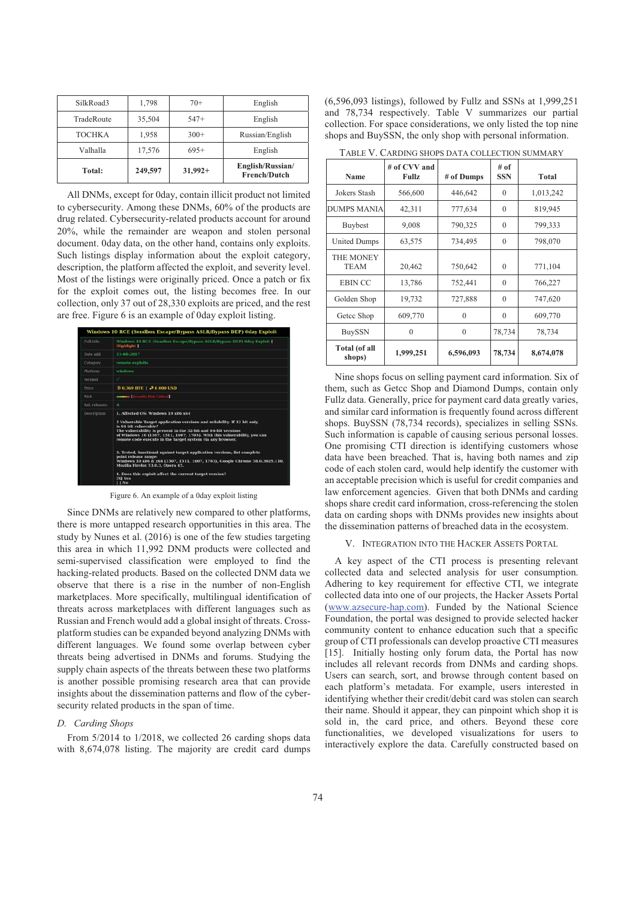| SilkRoad3     | 1,798   | $70+$     | English                                 |
|---------------|---------|-----------|-----------------------------------------|
| TradeRoute    | 35,504  | $547+$    | English                                 |
| <b>TOCHKA</b> | 1.958   | $300+$    | Russian/English                         |
| Valhalla      | 17,576  | $695+$    | English                                 |
| Total:        | 249,597 | $31,992+$ | English/Russian/<br><b>French/Dutch</b> |

All DNMs, except for 0day, contain illicit product not limited to cybersecurity. Among these DNMs, 60% of the products are drug related. Cybersecurity-related products account for around 20%, while the remainder are weapon and stolen personal document. 0day data, on the other hand, contains only exploits. Such listings display information about the exploit category, description, the platform affected the exploit, and severity level. Most of the listings were originally priced. Once a patch or fix for the exploit comes out, the listing becomes free. In our collection, only 37 out of 28,330 exploits are priced, and the rest are free. Figure 6 is an example of 0day exploit listing.



Figure 6. An example of a 0day exploit listing

Since DNMs are relatively new compared to other platforms, there is more untapped research opportunities in this area. The study by Nunes et al. (2016) is one of the few studies targeting this area in which 11,992 DNM products were collected and semi-supervised classification were employed to find the hacking-related products. Based on the collected DNM data we observe that there is a rise in the number of non-English marketplaces. More specifically, multilingual identification of threats across marketplaces with different languages such as Russian and French would add a global insight of threats. Crossplatform studies can be expanded beyond analyzing DNMs with different languages. We found some overlap between cyber threats being advertised in DNMs and forums. Studying the supply chain aspects of the threats between these two platforms is another possible promising research area that can provide insights about the dissemination patterns and flow of the cybersecurity related products in the span of time.

#### *D. Carding Shops*

From 5/2014 to 1/2018, we collected 26 carding shops data with 8,674,078 listing. The majority are credit card dumps (6,596,093 listings), followed by Fullz and SSNs at 1,999,251 and 78,734 respectively. Table V summarizes our partial collection. For space considerations, we only listed the top nine shops and BuySSN, the only shop with personal information.

| Name                     | # of CVV and<br>Fullz | # of Dumps | # of<br>SSN  | Total     |
|--------------------------|-----------------------|------------|--------------|-----------|
| Jokers Stash             | 566,600               | 446,642    | $\bf{0}$     | 1,013,242 |
| <b>DUMPS MANIA</b>       | 42,311                | 777,634    | $\theta$     | 819,945   |
| Buybest                  | 9,008                 | 790,325    | $\theta$     | 799,333   |
| <b>United Dumps</b>      | 63,575                | 734,495    | $\theta$     | 798,070   |
| THE MONEY<br><b>TEAM</b> | 20,462                | 750,642    | $\mathbf{0}$ | 771,104   |
| <b>EBIN CC</b>           | 13,786                | 752,441    | $\theta$     | 766,227   |
| Golden Shop              | 19,732                | 727,888    | $\theta$     | 747,620   |
| Getcc Shop               | 609,770               | $\Omega$   | $\theta$     | 609,770   |
| <b>BuySSN</b>            | $\theta$              | $\theta$   | 78,734       | 78,734    |
| Total (of all<br>shops)  | 1,999,251             | 6,596,093  | 78,734       | 8,674,078 |

TABLE V. CARDING SHOPS DATA COLLECTION SUMMARY

Nine shops focus on selling payment card information. Six of them, such as Getcc Shop and Diamond Dumps, contain only Fullz data. Generally, price for payment card data greatly varies, and similar card information is frequently found across different shops. BuySSN (78,734 records), specializes in selling SSNs. Such information is capable of causing serious personal losses. One promising CTI direction is identifying customers whose data have been breached. That is, having both names and zip code of each stolen card, would help identify the customer with an acceptable precision which is useful for credit companies and law enforcement agencies. Given that both DNMs and carding shops share credit card information, cross-referencing the stolen data on carding shops with DNMs provides new insights about the dissemination patterns of breached data in the ecosystem.

# V. INTEGRATION INTO THE HACKER ASSETS PORTAL

A key aspect of the CTI process is presenting relevant collected data and selected analysis for user consumption. Adhering to key requirement for effective CTI, we integrate collected data into one of our projects, the Hacker Assets Portal (www.azsecure-hap.com). Funded by the National Science Foundation, the portal was designed to provide selected hacker community content to enhance education such that a specific group of CTI professionals can develop proactive CTI measures [15]. Initially hosting only forum data, the Portal has now includes all relevant records from DNMs and carding shops. Users can search, sort, and browse through content based on each platform's metadata. For example, users interested in identifying whether their credit/debit card was stolen can search their name. Should it appear, they can pinpoint which shop it is sold in, the card price, and others. Beyond these core functionalities, we developed visualizations for users to interactively explore the data. Carefully constructed based on